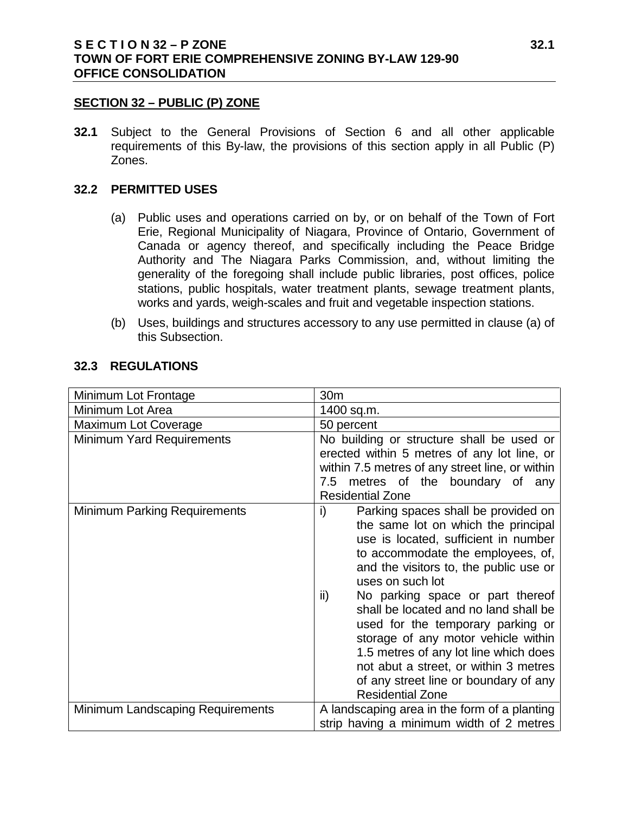#### **SECTION 32 – PUBLIC (P) ZONE**

**32.1** Subject to the General Provisions of Section 6 and all other applicable requirements of this By-law, the provisions of this section apply in all Public (P) Zones.

### **32.2 PERMITTED USES**

- (a) Public uses and operations carried on by, or on behalf of the Town of Fort Erie, Regional Municipality of Niagara, Province of Ontario, Government of Canada or agency thereof, and specifically including the Peace Bridge Authority and The Niagara Parks Commission, and, without limiting the generality of the foregoing shall include public libraries, post offices, police stations, public hospitals, water treatment plants, sewage treatment plants, works and yards, weigh-scales and fruit and vegetable inspection stations.
- (b) Uses, buildings and structures accessory to any use permitted in clause (a) of this Subsection.

| Minimum Lot Frontage                | 30 <sub>m</sub>                                                                                                                                                                                                                                                                                                                                                                                                                                                                                                                                   |
|-------------------------------------|---------------------------------------------------------------------------------------------------------------------------------------------------------------------------------------------------------------------------------------------------------------------------------------------------------------------------------------------------------------------------------------------------------------------------------------------------------------------------------------------------------------------------------------------------|
| Minimum Lot Area                    | 1400 sq.m.                                                                                                                                                                                                                                                                                                                                                                                                                                                                                                                                        |
| Maximum Lot Coverage                | 50 percent                                                                                                                                                                                                                                                                                                                                                                                                                                                                                                                                        |
| <b>Minimum Yard Requirements</b>    | No building or structure shall be used or<br>erected within 5 metres of any lot line, or<br>within 7.5 metres of any street line, or within<br>metres of the boundary of any<br>7.5<br><b>Residential Zone</b>                                                                                                                                                                                                                                                                                                                                    |
| <b>Minimum Parking Requirements</b> | Parking spaces shall be provided on<br>i)<br>the same lot on which the principal<br>use is located, sufficient in number<br>to accommodate the employees, of,<br>and the visitors to, the public use or<br>uses on such lot<br>No parking space or part thereof<br>ii)<br>shall be located and no land shall be<br>used for the temporary parking or<br>storage of any motor vehicle within<br>1.5 metres of any lot line which does<br>not abut a street, or within 3 metres<br>of any street line or boundary of any<br><b>Residential Zone</b> |
| Minimum Landscaping Requirements    | A landscaping area in the form of a planting<br>strip having a minimum width of 2 metres                                                                                                                                                                                                                                                                                                                                                                                                                                                          |

### **32.3 REGULATIONS**